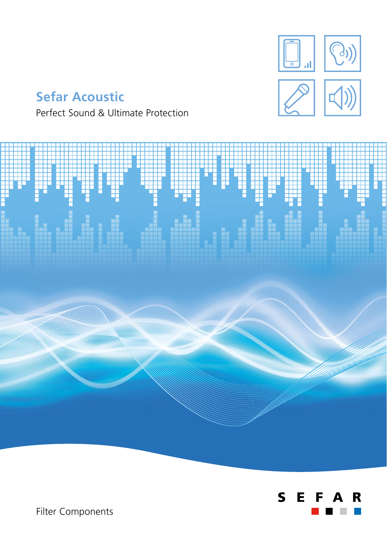

# **Sefar Acoustic**

Perfect Sound & Ultimate Protection





Filter Components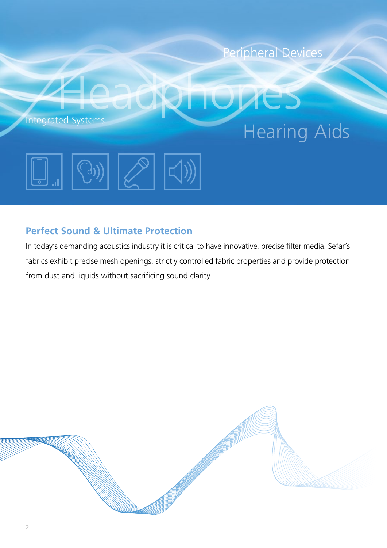

## **Perfect Sound & Ultimate Protection**

In today's demanding acoustics industry it is critical to have innovative, precise filter media. Sefar's fabrics exhibit precise mesh openings, strictly controlled fabric properties and provide protection from dust and liquids without sacrificing sound clarity.

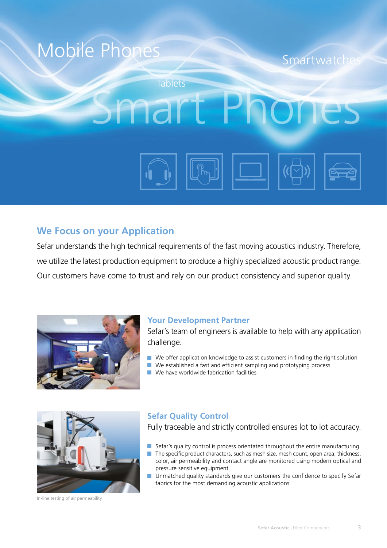

### **We Focus on your Application**

Sefar understands the high technical requirements of the fast moving acoustics industry. Therefore, we utilize the latest production equipment to produce a highly specialized acoustic product range. Our customers have come to trust and rely on our product consistency and superior quality.



### **Your Development Partner**

Sefar's team of engineers is available to help with any application challenge.

- $\blacksquare$  We offer application knowledge to assist customers in finding the right solution
- $\blacksquare$  We established a fast and efficient sampling and prototyping process
- We have worldwide fabrication facilities



In-line testing of air permeability

### **Sefar Quality Control**

Fully traceable and strictly controlled ensures lot to lot accuracy.

- Sefar's quality control is process orientated throughout the entire manufacturing
- The specific product characters, such as mesh size, mesh count, open area, thickness,  $\mathcal{C}^{\mathcal{A}}$ color, air permeability and contact angle are monitored using modern optical and pressure sensitive equipment
- **Unmatched quality standards give our customers the confidence to specify Sefar** fabrics for the most demanding acoustic applications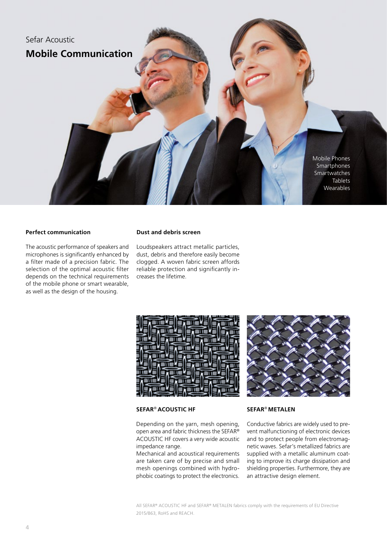

### **Perfect communication**

The acoustic performance of speakers and microphones is significantly enhanced by a filter made of a precision fabric. The selection of the optimal acoustic filter depends on the technical requirements of the mobile phone or smart wearable, as well as the design of the housing.

#### **Dust and debris screen**

Loudspeakers attract metallic particles, dust, debris and therefore easily become clogged. A woven fabric screen affords reliable protection and significantly increases the lifetime.



### **SEFAR**® **ACOUSTIC HF**

Depending on the yarn, mesh opening, open area and fabric thickness the SEFAR® ACOUSTIC HF covers a very wide acoustic impedance range.

Mechanical and acoustical requirements are taken care of by precise and small mesh openings combined with hydrophobic coatings to protect the electronics.

### **SEFAR**® **METALEN**

Conductive fabrics are widely used to prevent malfunctioning of electronic devices and to protect people from electromagnetic waves. Sefar's metallized fabrics are supplied with a metallic aluminum coating to improve its charge dissipation and shielding properties. Furthermore, they are an attractive design element.

All SEFAR® ACOUSTIC HF and SEFAR® METALEN fabrics comply with the requirements of EU Directive 2015/863, RoHS and REACH.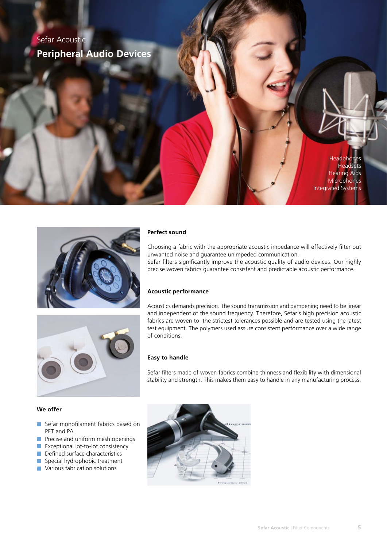## Sefar Acoustic **Peripheral Audio Devices**

**Headphones Headsets** Hearing Aids **Microphones** Integrated Systems



### **Perfect sound**

Choosing a fabric with the appropriate acoustic impedance will effectively filter out unwanted noise and guarantee unimpeded communication. Sefar filters significantly improve the acoustic quality of audio devices. Our highly precise woven fabrics guarantee consistent and predictable acoustic performance.

### **Acoustic performance**

Acoustics demands precision. The sound transmission and dampening need to be linear and independent of the sound frequency. Therefore, Sefar's high precision acoustic fabrics are woven to the strictest tolerances possible and are tested using the latest test equipment. The polymers used assure consistent performance over a wide range of conditions.

### **Easy to handle**

Sefar filters made of woven fabrics combine thinness and flexibility with dimensional stability and strength. This makes them easy to handle in any manufacturing process.

### **We offer**

- Sefar monofilament fabrics based on PET and PA
- **Precise and uniform mesh openings**
- **EXCEPTE EXCEPTION** Lot-to-lot consistency
- Defined surface characteristics
- Special hydrophobic treatment
- **Various fabrication solutions**

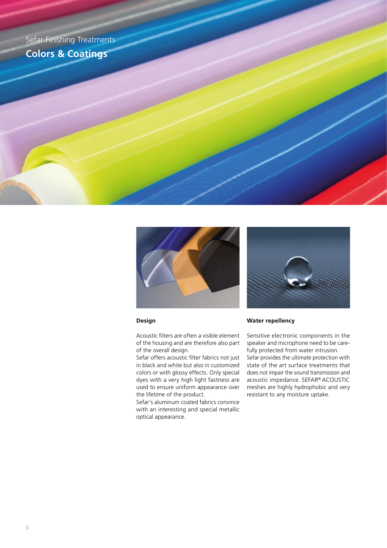Sefar Finishing Treatments **Colors & Coatings**



#### **Design**

Acoustic filters are often a visible element of the housing and are therefore also part of the overall design.

Sefar offers acoustic filter fabrics not just in black and white but also in customized colors or with glossy effects. Only special dyes with a very high light fastness are used to ensure uniform appearance over the lifetime of the product.

Sefar's aluminum coated fabrics convince with an interesting and special metallic optical appearance.



#### **Water repellency**

Sensitive electronic components in the speaker and microphone need to be carefully protected from water intrusion.

Sefar provides the ultimate protection with state of the art surface treatments that does not impair the sound transmission and acoustic impedance. SEFAR® ACOUSTIC meshes are highly hydrophobic and very resistant to any moisture uptake.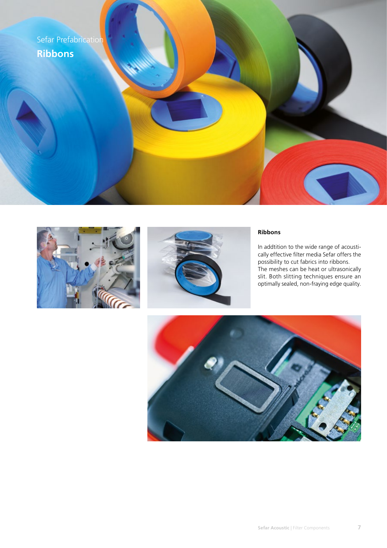





### **Ribbons**

In addtition to the wide range of acoustically effective filter media Sefar offers the possibility to cut fabrics into ribbons. The meshes can be heat or ultrasonically slit. Both slitting techniques ensure an optimally sealed, non-fraying edge quality.